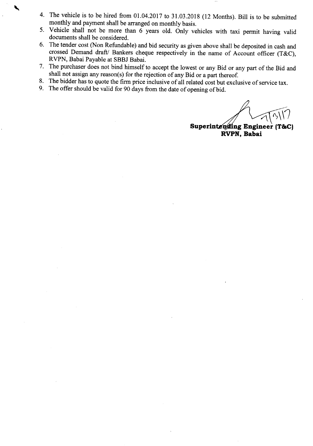- 4. The vehicle is to be hired from 01.04.2017 to 31.03.2018 (12 Months). Bill is to be submitted monthly and payment shall be arranged on monthly basis.
- 5. Vehicle shall not be more than 6 years old. Only vehicles with taxi permit having valid documents shall be considered.
- 6. The tender cost (Non Refundable) and bid security as given above shall be deposited in cash and crossed Demand draft/ Bankers cheque respectively in the name of Account officer (T&C), RVPN, Babai Payable at SBBJ Babai.
- 7. The purchaser does not bind himself to accept the lowest or any Bid or any part of the Bid and shall not assign any reason(s) for the rejection of any Bid or a part thereof.
- 8. The bidder has to quote the firm price inclusive of all related cost but exclusive of service tax.
- 9. The offer should be valid for 90 days from the date of opening of bid.

**Superintending Engineer (T&C) RVPN, Babai**